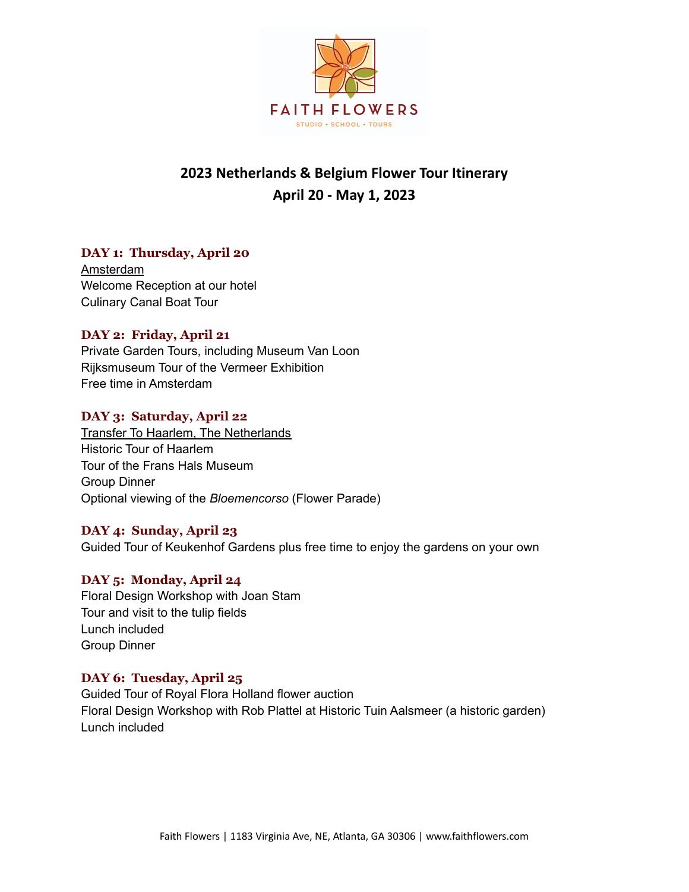

# **2023 Netherlands & Belgium Flower Tour Itinerary April 20 - May 1, 2023**

# **DAY 1: Thursday, April 20**

Amsterdam Welcome Reception at our hotel Culinary Canal Boat Tour

# **DAY 2: Friday, April 21**

Private Garden Tours, including Museum Van Loon Rijksmuseum Tour of the Vermeer Exhibition Free time in Amsterdam

# **DAY 3: Saturday, April 22**

Transfer To Haarlem, The Netherlands Historic Tour of Haarlem Tour of the Frans Hals Museum Group Dinner Optional viewing of the *Bloemencorso* (Flower Parade)

## **DAY 4: Sunday, April 23**

Guided Tour of Keukenhof Gardens plus free time to enjoy the gardens on your own

# **DAY 5: Monday, April 24**

Floral Design Workshop with Joan Stam Tour and visit to the tulip fields Lunch included Group Dinner

# **DAY 6: Tuesday, April 25**

Guided Tour of Royal Flora Holland flower auction Floral Design Workshop with Rob Plattel at Historic Tuin Aalsmeer (a historic garden) Lunch included